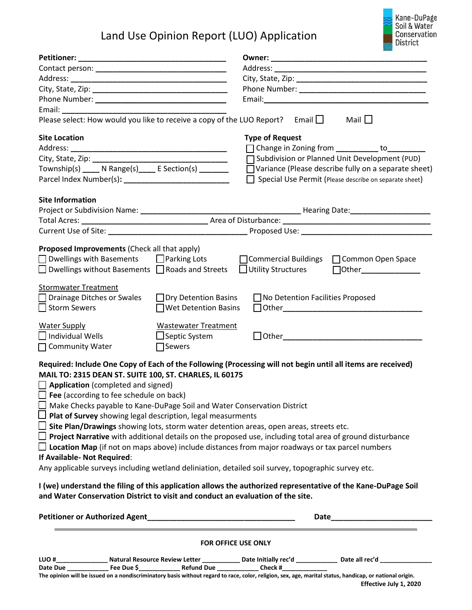## Land Use Opinion Report (LUO) Application



| Please select: How would you like to receive a copy of the LUO Report? Email $\Box$                                                                                                                                                                                                                                                                                                                                                                                                                                                                                                                                                                                                                                                                                                                                                                                                                   |                             |                                            | Mail $\square$                                                                                                        |  |  |  |  |  |  |
|-------------------------------------------------------------------------------------------------------------------------------------------------------------------------------------------------------------------------------------------------------------------------------------------------------------------------------------------------------------------------------------------------------------------------------------------------------------------------------------------------------------------------------------------------------------------------------------------------------------------------------------------------------------------------------------------------------------------------------------------------------------------------------------------------------------------------------------------------------------------------------------------------------|-----------------------------|--------------------------------------------|-----------------------------------------------------------------------------------------------------------------------|--|--|--|--|--|--|
| <b>Site Location</b>                                                                                                                                                                                                                                                                                                                                                                                                                                                                                                                                                                                                                                                                                                                                                                                                                                                                                  |                             | <b>Type of Request</b>                     |                                                                                                                       |  |  |  |  |  |  |
|                                                                                                                                                                                                                                                                                                                                                                                                                                                                                                                                                                                                                                                                                                                                                                                                                                                                                                       |                             |                                            | □ Change in Zoning from __________ to_________                                                                        |  |  |  |  |  |  |
|                                                                                                                                                                                                                                                                                                                                                                                                                                                                                                                                                                                                                                                                                                                                                                                                                                                                                                       |                             |                                            | Subdivision or Planned Unit Development (PUD)                                                                         |  |  |  |  |  |  |
| Township(s) ____ N Range(s) ____ E Section(s) _______                                                                                                                                                                                                                                                                                                                                                                                                                                                                                                                                                                                                                                                                                                                                                                                                                                                 |                             |                                            | $\Box$ Variance (Please describe fully on a separate sheet)<br>Special Use Permit (Please describe on separate sheet) |  |  |  |  |  |  |
| <b>Site Information</b>                                                                                                                                                                                                                                                                                                                                                                                                                                                                                                                                                                                                                                                                                                                                                                                                                                                                               |                             |                                            |                                                                                                                       |  |  |  |  |  |  |
|                                                                                                                                                                                                                                                                                                                                                                                                                                                                                                                                                                                                                                                                                                                                                                                                                                                                                                       |                             |                                            |                                                                                                                       |  |  |  |  |  |  |
|                                                                                                                                                                                                                                                                                                                                                                                                                                                                                                                                                                                                                                                                                                                                                                                                                                                                                                       |                             |                                            |                                                                                                                       |  |  |  |  |  |  |
|                                                                                                                                                                                                                                                                                                                                                                                                                                                                                                                                                                                                                                                                                                                                                                                                                                                                                                       |                             |                                            |                                                                                                                       |  |  |  |  |  |  |
| Proposed Improvements (Check all that apply)                                                                                                                                                                                                                                                                                                                                                                                                                                                                                                                                                                                                                                                                                                                                                                                                                                                          |                             |                                            |                                                                                                                       |  |  |  |  |  |  |
| □ Dwellings with Basements □ Parking Lots                                                                                                                                                                                                                                                                                                                                                                                                                                                                                                                                                                                                                                                                                                                                                                                                                                                             |                             | □ Commercial Buildings □ Common Open Space |                                                                                                                       |  |  |  |  |  |  |
| $\Box$ Dwellings without Basements $\Box$ Roads and Streets                                                                                                                                                                                                                                                                                                                                                                                                                                                                                                                                                                                                                                                                                                                                                                                                                                           |                             | $\Box$ Utility Structures                  |                                                                                                                       |  |  |  |  |  |  |
| <b>Stormwater Treatment</b>                                                                                                                                                                                                                                                                                                                                                                                                                                                                                                                                                                                                                                                                                                                                                                                                                                                                           |                             |                                            |                                                                                                                       |  |  |  |  |  |  |
| □ Drainage Ditches or Swales                                                                                                                                                                                                                                                                                                                                                                                                                                                                                                                                                                                                                                                                                                                                                                                                                                                                          | □ Dry Detention Basins      | $\Box$ No Detention Facilities Proposed    |                                                                                                                       |  |  |  |  |  |  |
| Storm Sewers                                                                                                                                                                                                                                                                                                                                                                                                                                                                                                                                                                                                                                                                                                                                                                                                                                                                                          | $\Box$ Wet Detention Basins |                                            |                                                                                                                       |  |  |  |  |  |  |
| <b>Water Supply</b>                                                                                                                                                                                                                                                                                                                                                                                                                                                                                                                                                                                                                                                                                                                                                                                                                                                                                   | <b>Wastewater Treatment</b> |                                            |                                                                                                                       |  |  |  |  |  |  |
| $\Box$ Individual Wells                                                                                                                                                                                                                                                                                                                                                                                                                                                                                                                                                                                                                                                                                                                                                                                                                                                                               | □ Septic System             |                                            |                                                                                                                       |  |  |  |  |  |  |
| $\Box$ Community Water                                                                                                                                                                                                                                                                                                                                                                                                                                                                                                                                                                                                                                                                                                                                                                                                                                                                                | $\Box$ Sewers               |                                            |                                                                                                                       |  |  |  |  |  |  |
| Required: Include One Copy of Each of the Following (Processing will not begin until all items are received)<br>MAIL TO: 2315 DEAN ST. SUITE 100, ST. CHARLES, IL 60175<br>$\Box$ Application (completed and signed)<br>$\Box$ Fee (according to fee schedule on back)<br>$\Box$ Make Checks payable to Kane-DuPage Soil and Water Conservation District<br>$\Box$ Plat of Survey showing legal description, legal measurments<br>$\Box$ Site Plan/Drawings showing lots, storm water detention areas, open areas, streets etc.<br><b>I Project Narrative</b> with additional details on the proposed use, including total area of ground disturbance<br>$\Box$ Location Map (if not on maps above) include distances from major roadways or tax parcel numbers<br>If Available- Not Required:<br>Any applicable surveys including wetland deliniation, detailed soil survey, topographic survey etc. |                             |                                            |                                                                                                                       |  |  |  |  |  |  |
| I (we) understand the filing of this application allows the authorized representative of the Kane-DuPage Soil<br>and Water Conservation District to visit and conduct an evaluation of the site.                                                                                                                                                                                                                                                                                                                                                                                                                                                                                                                                                                                                                                                                                                      |                             |                                            |                                                                                                                       |  |  |  |  |  |  |
|                                                                                                                                                                                                                                                                                                                                                                                                                                                                                                                                                                                                                                                                                                                                                                                                                                                                                                       |                             |                                            |                                                                                                                       |  |  |  |  |  |  |
|                                                                                                                                                                                                                                                                                                                                                                                                                                                                                                                                                                                                                                                                                                                                                                                                                                                                                                       |                             | FOR OFFICE USE ONLY                        |                                                                                                                       |  |  |  |  |  |  |
| LUO #_____________________ Natural Resource Review Letter ______________ Date Initially rec'd _______________ Date all rec'd __________                                                                                                                                                                                                                                                                                                                                                                                                                                                                                                                                                                                                                                                                                                                                                               |                             |                                            |                                                                                                                       |  |  |  |  |  |  |

Date Due \_\_\_\_\_\_\_\_\_\_\_\_\_\_\_\_\_\_\_Fee Due \$\_\_\_\_\_\_\_\_\_\_\_\_\_\_\_\_\_\_\_\_\_\_\_\_Refund Due \_\_\_\_\_\_\_\_\_\_\_\_\_\_\_\_\_Check #\_

**The opinion will be issued on a nondiscriminatory basis without regard to race, color, religion, sex, age, marital status, handicap, or national origin. Effective July 1, 2020**